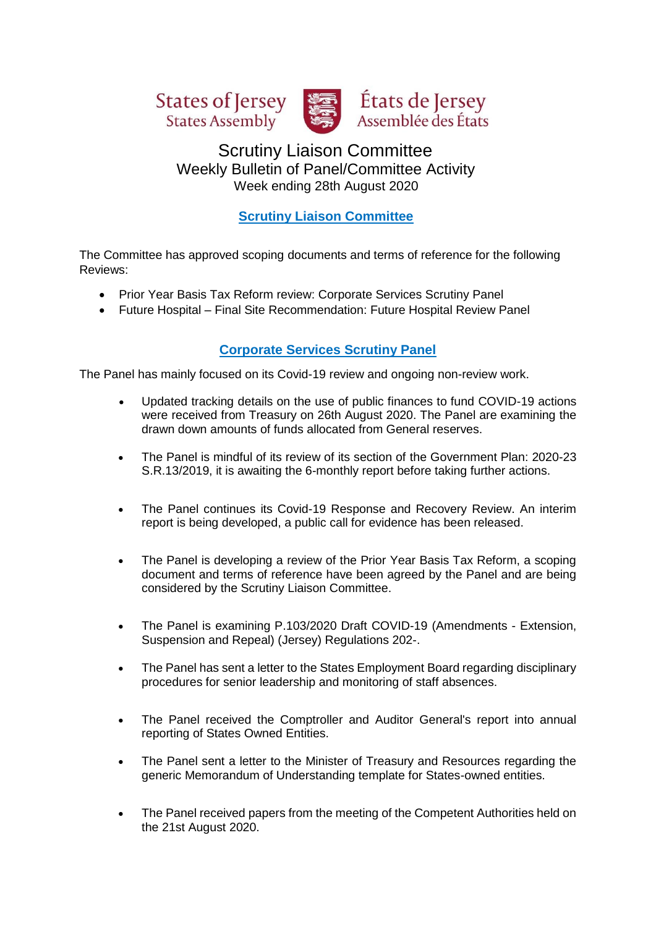





# Scrutiny Liaison Committee Weekly Bulletin of Panel/Committee Activity Week ending 28th August 2020

# **Scrutiny Liaison Committee**

The Committee has approved scoping documents and terms of reference for the following Reviews:

- Prior Year Basis Tax Reform review: Corporate Services Scrutiny Panel
- Future Hospital Final Site Recommendation: Future Hospital Review Panel

## **Corporate Services Scrutiny Panel**

The Panel has mainly focused on its Covid-19 review and ongoing non-review work.

- Updated tracking details on the use of public finances to fund COVID-19 actions were received from Treasury on 26th August 2020. The Panel are examining the drawn down amounts of funds allocated from General reserves.
- The Panel is mindful of its review of its section of the Government Plan: 2020-23 S.R.13/2019, it is awaiting the 6-monthly report before taking further actions.
- The Panel continues its Covid-19 Response and Recovery Review. An interim report is being developed, a public call for evidence has been released.
- The Panel is developing a review of the Prior Year Basis Tax Reform, a scoping document and terms of reference have been agreed by the Panel and are being considered by the Scrutiny Liaison Committee.
- The Panel is examining P.103/2020 Draft COVID-19 (Amendments Extension, Suspension and Repeal) (Jersey) Regulations 202-.
- The Panel has sent a letter to the States Employment Board regarding disciplinary procedures for senior leadership and monitoring of staff absences.
- The Panel received the Comptroller and Auditor General's report into annual reporting of States Owned Entities.
- The Panel sent a letter to the Minister of Treasury and Resources regarding the generic Memorandum of Understanding template for States-owned entities.
- The Panel received papers from the meeting of the Competent Authorities held on the 21st August 2020.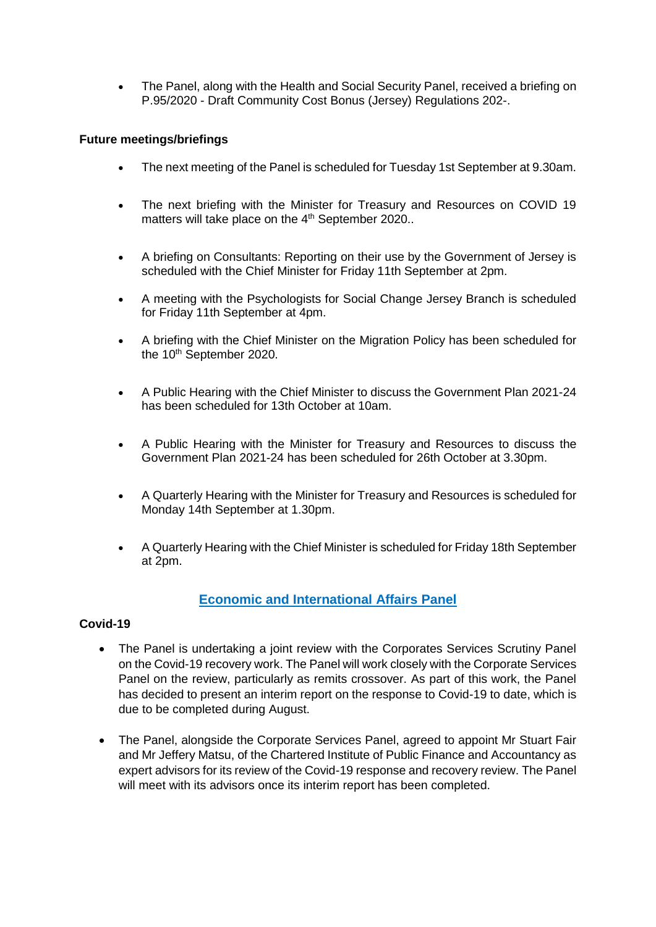• The Panel, along with the Health and Social Security Panel, received a briefing on P.95/2020 - Draft Community Cost Bonus (Jersey) Regulations 202-.

#### **Future meetings/briefings**

- The next meeting of the Panel is scheduled for Tuesday 1st September at 9.30am.
- The next briefing with the Minister for Treasury and Resources on COVID 19 matters will take place on the 4<sup>th</sup> September 2020..
- A briefing on Consultants: Reporting on their use by the Government of Jersey is scheduled with the Chief Minister for Friday 11th September at 2pm.
- A meeting with the Psychologists for Social Change Jersey Branch is scheduled for Friday 11th September at 4pm.
- A briefing with the Chief Minister on the Migration Policy has been scheduled for the 10<sup>th</sup> September 2020.
- A Public Hearing with the Chief Minister to discuss the Government Plan 2021-24 has been scheduled for 13th October at 10am.
- A Public Hearing with the Minister for Treasury and Resources to discuss the Government Plan 2021-24 has been scheduled for 26th October at 3.30pm.
- A Quarterly Hearing with the Minister for Treasury and Resources is scheduled for Monday 14th September at 1.30pm.
- A Quarterly Hearing with the Chief Minister is scheduled for Friday 18th September at 2pm.

### **Economic and International Affairs Panel**

#### **Covid-19**

- The Panel is undertaking a joint review with the Corporates Services Scrutiny Panel on the Covid-19 recovery work. The Panel will work closely with the Corporate Services Panel on the review, particularly as remits crossover. As part of this work, the Panel has decided to present an interim report on the response to Covid-19 to date, which is due to be completed during August.
- The Panel, alongside the Corporate Services Panel, agreed to appoint Mr Stuart Fair and Mr Jeffery Matsu, of the Chartered Institute of Public Finance and Accountancy as expert advisors for its review of the Covid-19 response and recovery review. The Panel will meet with its advisors once its interim report has been completed.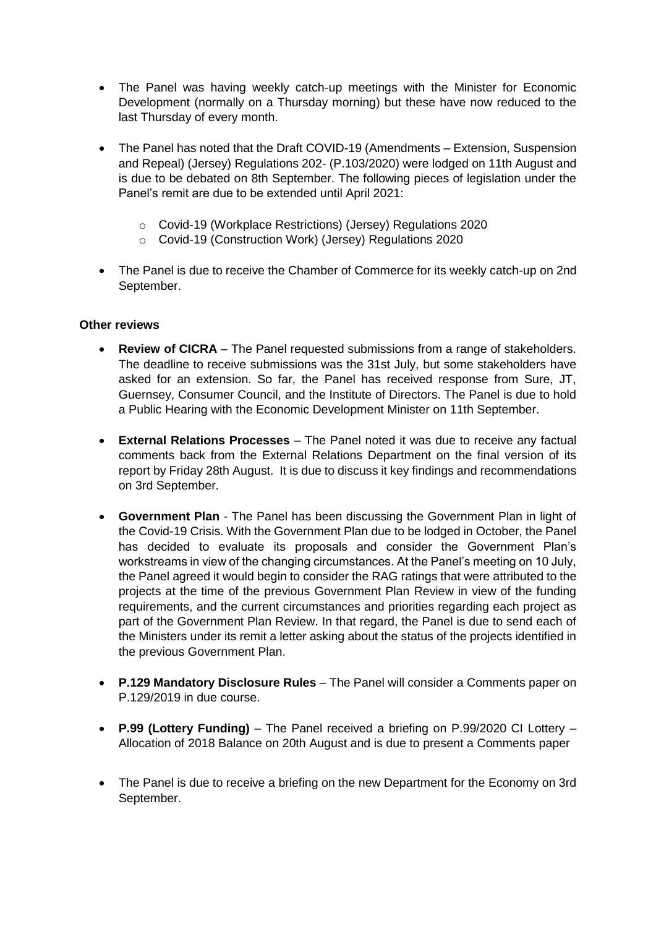- The Panel was having weekly catch-up meetings with the Minister for Economic Development (normally on a Thursday morning) but these have now reduced to the last Thursday of every month.
- The Panel has noted that the Draft COVID-19 (Amendments Extension, Suspension and Repeal) (Jersey) Regulations 202- (P.103/2020) were lodged on 11th August and is due to be debated on 8th September. The following pieces of legislation under the Panel's remit are due to be extended until April 2021:
	- o Covid-19 (Workplace Restrictions) (Jersey) Regulations 2020
	- o Covid-19 (Construction Work) (Jersey) Regulations 2020
- The Panel is due to receive the Chamber of Commerce for its weekly catch-up on 2nd September.

#### **Other reviews**

- **Review of CICRA** The Panel requested submissions from a range of stakeholders. The deadline to receive submissions was the 31st July, but some stakeholders have asked for an extension. So far, the Panel has received response from Sure, JT, Guernsey, Consumer Council, and the Institute of Directors. The Panel is due to hold a Public Hearing with the Economic Development Minister on 11th September.
- **External Relations Processes** The Panel noted it was due to receive any factual comments back from the External Relations Department on the final version of its report by Friday 28th August. It is due to discuss it key findings and recommendations on 3rd September.
- **Government Plan** The Panel has been discussing the Government Plan in light of the Covid-19 Crisis. With the Government Plan due to be lodged in October, the Panel has decided to evaluate its proposals and consider the Government Plan's workstreams in view of the changing circumstances. At the Panel's meeting on 10 July, the Panel agreed it would begin to consider the RAG ratings that were attributed to the projects at the time of the previous Government Plan Review in view of the funding requirements, and the current circumstances and priorities regarding each project as part of the Government Plan Review. In that regard, the Panel is due to send each of the Ministers under its remit a letter asking about the status of the projects identified in the previous Government Plan.
- **P.129 Mandatory Disclosure Rules** The Panel will consider a Comments paper on P.129/2019 in due course.
- **P.99 (Lottery Funding)** The Panel received a briefing on P.99/2020 CI Lottery Allocation of 2018 Balance on 20th August and is due to present a Comments paper
- The Panel is due to receive a briefing on the new Department for the Economy on 3rd September.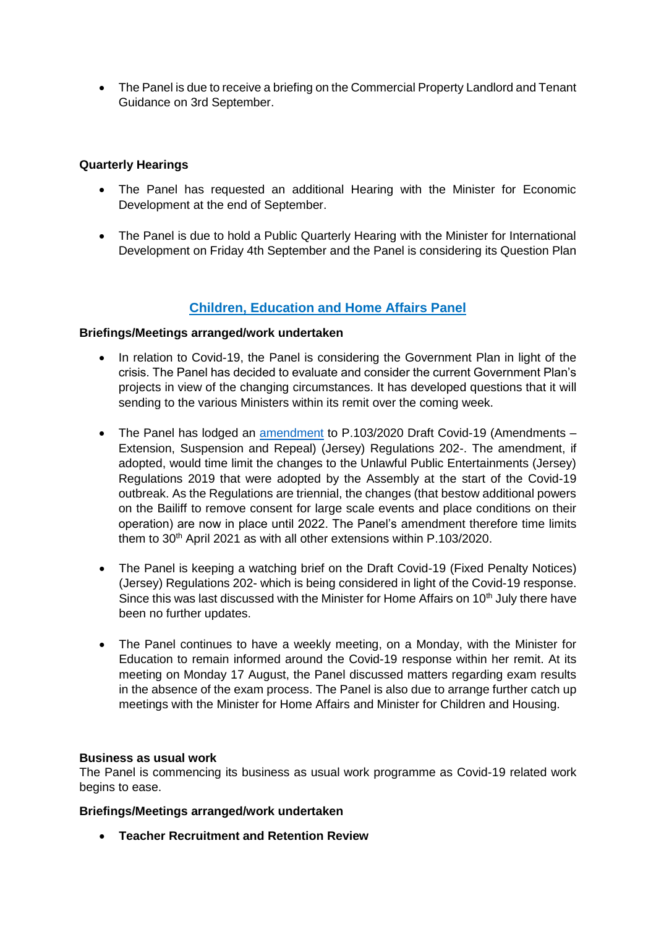• The Panel is due to receive a briefing on the Commercial Property Landlord and Tenant Guidance on 3rd September.

#### **Quarterly Hearings**

- The Panel has requested an additional Hearing with the Minister for Economic Development at the end of September.
- The Panel is due to hold a Public Quarterly Hearing with the Minister for International Development on Friday 4th September and the Panel is considering its Question Plan

### **Children, Education and Home Affairs Panel**

#### **Briefings/Meetings arranged/work undertaken**

- In relation to Covid-19, the Panel is considering the Government Plan in light of the crisis. The Panel has decided to evaluate and consider the current Government Plan's projects in view of the changing circumstances. It has developed questions that it will sending to the various Ministers within its remit over the coming week.
- The Panel has lodged an [amendment](https://statesassembly.gov.je/assemblypropositions/2020/p.103-2020%20amd.pdf) to P.103/2020 Draft Covid-19 (Amendments Extension, Suspension and Repeal) (Jersey) Regulations 202-. The amendment, if adopted, would time limit the changes to the Unlawful Public Entertainments (Jersey) Regulations 2019 that were adopted by the Assembly at the start of the Covid-19 outbreak. As the Regulations are triennial, the changes (that bestow additional powers on the Bailiff to remove consent for large scale events and place conditions on their operation) are now in place until 2022. The Panel's amendment therefore time limits them to 30<sup>th</sup> April 2021 as with all other extensions within P.103/2020.
- The Panel is keeping a watching brief on the Draft Covid-19 (Fixed Penalty Notices) (Jersey) Regulations 202- which is being considered in light of the Covid-19 response. Since this was last discussed with the Minister for Home Affairs on 10<sup>th</sup> July there have been no further updates.
- The Panel continues to have a weekly meeting, on a Monday, with the Minister for Education to remain informed around the Covid-19 response within her remit. At its meeting on Monday 17 August, the Panel discussed matters regarding exam results in the absence of the exam process. The Panel is also due to arrange further catch up meetings with the Minister for Home Affairs and Minister for Children and Housing.

#### **Business as usual work**

The Panel is commencing its business as usual work programme as Covid-19 related work begins to ease.

#### **Briefings/Meetings arranged/work undertaken**

• **Teacher Recruitment and Retention Review**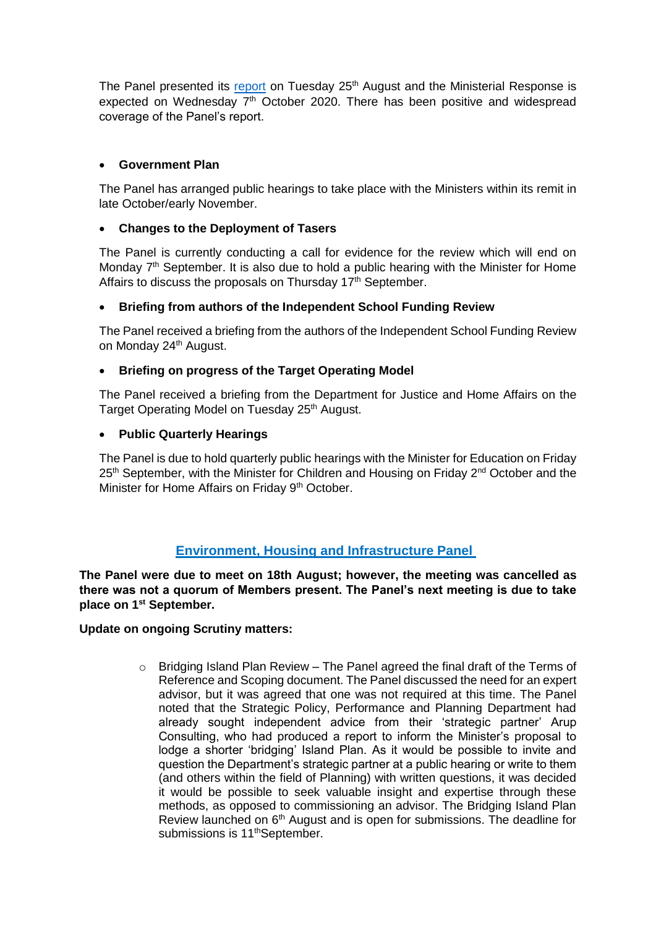The Panel presented its [report](https://statesassembly.gov.je/scrutinyreports/2020/report%20-%20teacher%20recruitment%20and%20retention%20-%2025%20august%202020.pdf) on Tuesday  $25<sup>th</sup>$  August and the Ministerial Response is expected on Wednesday  $7<sup>th</sup>$  October 2020. There has been positive and widespread coverage of the Panel's report.

#### • **Government Plan**

The Panel has arranged public hearings to take place with the Ministers within its remit in late October/early November.

#### • **Changes to the Deployment of Tasers**

The Panel is currently conducting a call for evidence for the review which will end on Monday  $7<sup>th</sup>$  September. It is also due to hold a public hearing with the Minister for Home Affairs to discuss the proposals on Thursday 17<sup>th</sup> September.

#### • **Briefing from authors of the Independent School Funding Review**

The Panel received a briefing from the authors of the Independent School Funding Review on Monday 24<sup>th</sup> August.

#### • **Briefing on progress of the Target Operating Model**

The Panel received a briefing from the Department for Justice and Home Affairs on the Target Operating Model on Tuesday 25<sup>th</sup> August.

#### • **Public Quarterly Hearings**

The Panel is due to hold quarterly public hearings with the Minister for Education on Friday 25<sup>th</sup> September, with the Minister for Children and Housing on Friday 2<sup>nd</sup> October and the Minister for Home Affairs on Friday 9<sup>th</sup> October.

### **Environment, Housing and Infrastructure Panel**

**The Panel were due to meet on 18th August; however, the meeting was cancelled as there was not a quorum of Members present. The Panel's next meeting is due to take place on 1st September.** 

#### **Update on ongoing Scrutiny matters:**

 $\circ$  Bridging Island Plan Review – The Panel agreed the final draft of the Terms of Reference and Scoping document. The Panel discussed the need for an expert advisor, but it was agreed that one was not required at this time. The Panel noted that the Strategic Policy, Performance and Planning Department had already sought independent advice from their 'strategic partner' Arup Consulting, who had produced a report to inform the Minister's proposal to lodge a shorter 'bridging' Island Plan. As it would be possible to invite and question the Department's strategic partner at a public hearing or write to them (and others within the field of Planning) with written questions, it was decided it would be possible to seek valuable insight and expertise through these methods, as opposed to commissioning an advisor. The Bridging Island Plan Review launched on 6<sup>th</sup> August and is open for submissions. The deadline for submissions is 11<sup>th</sup>September.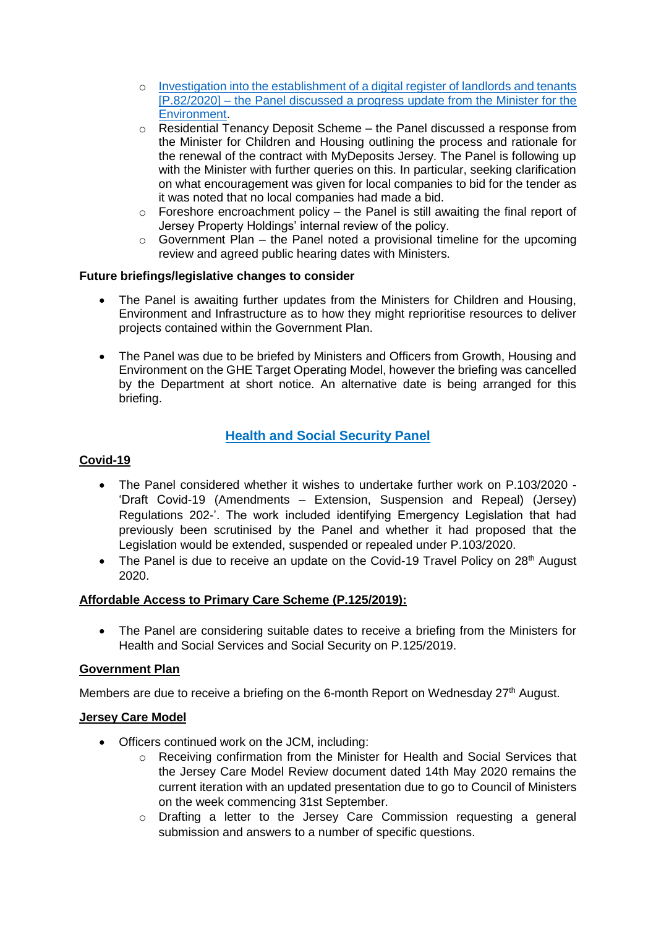- o [Investigation into the establishment of a digital register of landlords and tenants](https://statesassembly.gov.je/Pages/Propositions.aspx?ref=P.82/2020&refurl=%2fPages%2fPropositions.aspx)  [\[P.82/2020\]](https://statesassembly.gov.je/Pages/Propositions.aspx?ref=P.82/2020&refurl=%2fPages%2fPropositions.aspx) – the Panel discussed a progress update from the Minister for the Environment.
- $\circ$  Residential Tenancy Deposit Scheme the Panel discussed a response from the Minister for Children and Housing outlining the process and rationale for the renewal of the contract with MyDeposits Jersey. The Panel is following up with the Minister with further queries on this. In particular, seeking clarification on what encouragement was given for local companies to bid for the tender as it was noted that no local companies had made a bid.
- $\circ$  Foreshore encroachment policy the Panel is still awaiting the final report of Jersey Property Holdings' internal review of the policy.
- $\circ$  Government Plan the Panel noted a provisional timeline for the upcoming review and agreed public hearing dates with Ministers.

#### **Future briefings/legislative changes to consider**

- The Panel is awaiting further updates from the Ministers for Children and Housing, Environment and Infrastructure as to how they might reprioritise resources to deliver projects contained within the Government Plan.
- The Panel was due to be briefed by Ministers and Officers from Growth, Housing and Environment on the GHE Target Operating Model, however the briefing was cancelled by the Department at short notice. An alternative date is being arranged for this briefing.

# **Health and Social Security Panel**

#### **Covid-19**

- The Panel considered whether it wishes to undertake further work on P.103/2020 'Draft Covid-19 (Amendments – Extension, Suspension and Repeal) (Jersey) Regulations 202-'. The work included identifying Emergency Legislation that had previously been scrutinised by the Panel and whether it had proposed that the Legislation would be extended, suspended or repealed under P.103/2020.
- The Panel is due to receive an update on the Covid-19 Travel Policy on 28<sup>th</sup> August 2020.

#### **Affordable Access to Primary Care Scheme (P.125/2019):**

• The Panel are considering suitable dates to receive a briefing from the Ministers for Health and Social Services and Social Security on P.125/2019.

#### **Government Plan**

Members are due to receive a briefing on the 6-month Report on Wednesday 27<sup>th</sup> August.

#### **Jersey Care Model**

- Officers continued work on the JCM, including:
	- o Receiving confirmation from the Minister for Health and Social Services that the Jersey Care Model Review document dated 14th May 2020 remains the current iteration with an updated presentation due to go to Council of Ministers on the week commencing 31st September.
	- o Drafting a letter to the Jersey Care Commission requesting a general submission and answers to a number of specific questions.